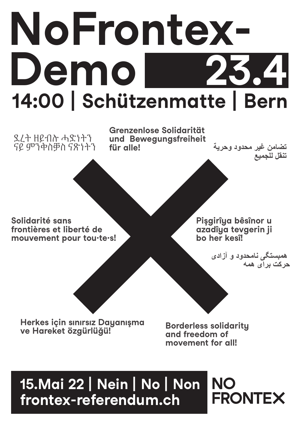# **NoFrontex-Demo 23.4 14:00 | Schützenmatte | Bern**

ደረት ዘይብሉ ሓድነትን ናይ ምንቅስቓስ ናጽነትን

**Grenzenlose Solidarität und Bewegungsfreiheit für alle!** 

**تضامن غير محدود وحرية تنقل للجميع**

**Solidarité sans frontières et liberté de mouvement pour tou·te·s!** **Pişgirîya bêsînor u azadîya tevgerin ji bo her kesî!**

 **همبستگی نامحدود و آزادی حرکت برای همه**

**Herkes için sınırsız Dayanışma ve Hareket özgürlüğü!**

**Borderless solidarity and freedom of movement for all!**

# **15.Mai 22 | Nein | No | Non frontex-referendum.ch**

**NO FRONTEX**